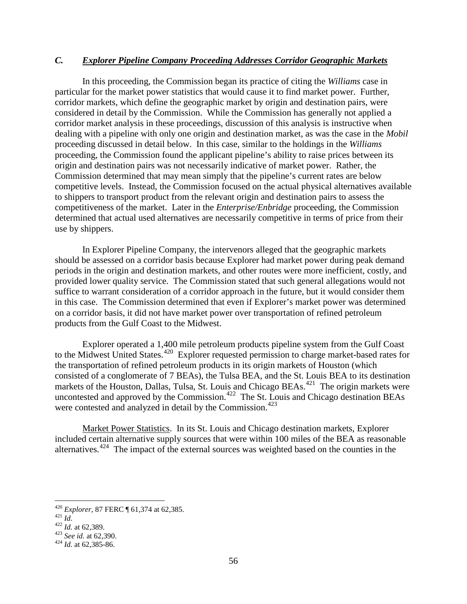## *C. Explorer Pipeline Company Proceeding Addresses Corridor Geographic Markets*

In this proceeding, the Commission began its practice of citing the *Williams* case in particular for the market power statistics that would cause it to find market power. Further, corridor markets, which define the geographic market by origin and destination pairs, were considered in detail by the Commission. While the Commission has generally not applied a corridor market analysis in these proceedings, discussion of this analysis is instructive when dealing with a pipeline with only one origin and destination market, as was the case in the *Mobil* proceeding discussed in detail below. In this case, similar to the holdings in the *Williams* proceeding, the Commission found the applicant pipeline's ability to raise prices between its origin and destination pairs was not necessarily indicative of market power. Rather, the Commission determined that may mean simply that the pipeline's current rates are below competitive levels. Instead, the Commission focused on the actual physical alternatives available to shippers to transport product from the relevant origin and destination pairs to assess the competitiveness of the market. Later in the *Enterprise/Enbridge* proceeding, the Commission determined that actual used alternatives are necessarily competitive in terms of price from their use by shippers.

In Explorer Pipeline Company, the intervenors alleged that the geographic markets should be assessed on a corridor basis because Explorer had market power during peak demand periods in the origin and destination markets, and other routes were more inefficient, costly, and provided lower quality service. The Commission stated that such general allegations would not suffice to warrant consideration of a corridor approach in the future, but it would consider them in this case. The Commission determined that even if Explorer's market power was determined on a corridor basis, it did not have market power over transportation of refined petroleum products from the Gulf Coast to the Midwest.

Explorer operated a 1,400 mile petroleum products pipeline system from the Gulf Coast to the Midwest United States.<sup>[420](#page-0-0)</sup> Explorer requested permission to charge market-based rates for the transportation of refined petroleum products in its origin markets of Houston (which consisted of a conglomerate of 7 BEAs), the Tulsa BEA, and the St. Louis BEA to its destination markets of the Houston, Dallas, Tulsa, St. Louis and Chicago BEAs.<sup>421</sup> The origin markets were uncontested and approved by the Commission.<sup>[422](#page-0-2)</sup> The St. Louis and Chicago destination BEAs were contested and analyzed in detail by the Commission.<sup>423</sup>

Market Power Statistics. In its St. Louis and Chicago destination markets, Explorer included certain alternative supply sources that were within 100 miles of the BEA as reasonable alternatives.[424](#page-0-4) The impact of the external sources was weighted based on the counties in the

<span id="page-0-1"></span><span id="page-0-0"></span><sup>420</sup> *Explorer*, 87 FERC ¶ 61,374 at 62,385.<br>
421 *Id.*<br>
422 *Id.* at 62,389.<br>
423 *See id.* at 62,390.<br>
424 *Id.* at 62,385-86.

<span id="page-0-2"></span>

<span id="page-0-3"></span>

<span id="page-0-4"></span>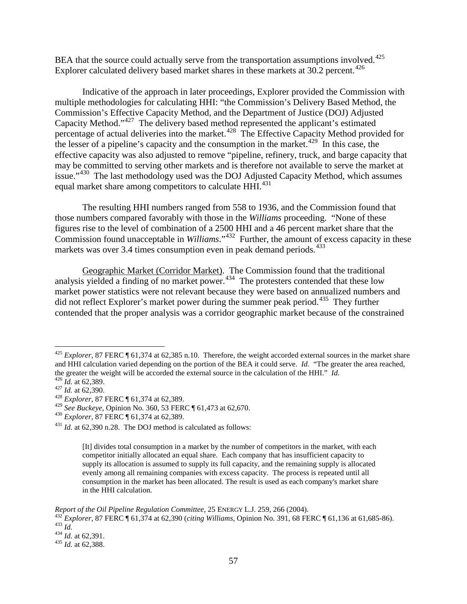BEA that the source could actually serve from the transportation assumptions involved.<sup>425</sup> Explorer calculated delivery based market shares in these markets at 30.2 percent.<sup>[426](#page-1-1)</sup>

Indicative of the approach in later proceedings, Explorer provided the Commission with multiple methodologies for calculating HHI: "the Commission's Delivery Based Method, the Commission's Effective Capacity Method, and the Department of Justice (DOJ) Adjusted Capacity Method."[427](#page-1-2) The delivery based method represented the applicant's estimated percentage of actual deliveries into the market.<sup>428</sup> The Effective Capacity Method provided for the lesser of a pipeline's capacity and the consumption in the market.<sup>429</sup> In this case, the effective capacity was also adjusted to remove "pipeline, refinery, truck, and barge capacity that may be committed to serving other markets and is therefore not available to serve the market at issue."<sup>[430](#page-1-5)</sup> The last methodology used was the DOJ Adjusted Capacity Method, which assumes equal market share among competitors to calculate HHI.<sup>431</sup>

The resulting HHI numbers ranged from 558 to 1936, and the Commission found that those numbers compared favorably with those in the *Williams* proceeding. "None of these figures rise to the level of combination of a 2500 HHI and a 46 percent market share that the Commission found unacceptable in *Williams*."[432](#page-1-7) Further, the amount of excess capacity in these markets was over 3.4 times consumption even in peak demand periods.<sup>[433](#page-1-8)</sup>

Geographic Market (Corridor Market). The Commission found that the traditional analysis yielded a finding of no market power.<sup>[434](#page-1-9)</sup> The protesters contended that these low market power statistics were not relevant because they were based on annualized numbers and did not reflect Explorer's market power during the summer peak period.<sup>[435](#page-1-10)</sup> They further contended that the proper analysis was a corridor geographic market because of the constrained

<span id="page-1-0"></span><sup>&</sup>lt;sup>425</sup> *Explorer*, 87 FERC ¶ 61,374 at 62,385 n.10. Therefore, the weight accorded external sources in the market share and HHI calculation varied depending on the portion of the BEA it could serve. *Id.* "The greater the area reached, the greater the weight will be accorded the external source in the calculation of the HHI." *Id.*  $^{426}$  *Id.* at 62,389.  $^{427}$  *Id.* at 62,390.  $^{428}$  *Explorer*, 87 FERC ¶ 61,374 at 62,389.

<span id="page-1-2"></span><span id="page-1-1"></span>

<span id="page-1-5"></span><span id="page-1-4"></span><span id="page-1-3"></span><sup>429</sup> *See Buckeye*, Opinion No. 360, 53 FERC ¶ 61,473 at 62,670. <sup>430</sup> *Explorer*, 87 FERC ¶ 61,374 at 62,389.

<span id="page-1-6"></span> $^{431}$  *Id.* at 62,390 n.28. The DOJ method is calculated as follows:

<sup>[</sup>It] divides total consumption in a market by the number of competitors in the market, with each competitor initially allocated an equal share. Each company that has insufficient capacity to supply its allocation is assumed to supply its full capacity, and the remaining supply is allocated evenly among all remaining companies with excess capacity. The process is repeated until all consumption in the market has been allocated. The result is used as each company's market share in the HHI calculation.

<span id="page-1-8"></span><span id="page-1-7"></span>Report of the Oil Pipeline Regulation Committee, 25 ENERGY L.J. 259, 266 (2004).<br>
<sup>432</sup> Explorer, 87 FERC ¶ 61,374 at 62,390 (citing Williams, Opinion No. 391, 68 FERC ¶ 61,136 at 61,685-86).<br>
<sup>434</sup> Id. at 62,391.<br>
<sup>434</sup>

<span id="page-1-9"></span>

<span id="page-1-10"></span>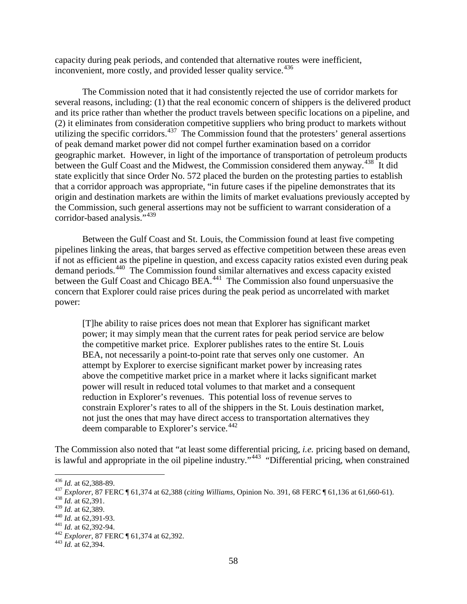capacity during peak periods, and contended that alternative routes were inefficient, inconvenient, more costly, and provided lesser quality service.<sup>436</sup>

The Commission noted that it had consistently rejected the use of corridor markets for several reasons, including: (1) that the real economic concern of shippers is the delivered product and its price rather than whether the product travels between specific locations on a pipeline, and (2) it eliminates from consideration competitive suppliers who bring product to markets without utilizing the specific corridors.<sup>437</sup> The Commission found that the protesters' general assertions of peak demand market power did not compel further examination based on a corridor geographic market. However, in light of the importance of transportation of petroleum products between the Gulf Coast and the Midwest, the Commission considered them anyway.<sup>[438](#page-2-2)</sup> It did state explicitly that since Order No. 572 placed the burden on the protesting parties to establish that a corridor approach was appropriate, "in future cases if the pipeline demonstrates that its origin and destination markets are within the limits of market evaluations previously accepted by the Commission, such general assertions may not be sufficient to warrant consideration of a corridor-based analysis."<sup>[439](#page-2-3)</sup>

Between the Gulf Coast and St. Louis, the Commission found at least five competing pipelines linking the areas, that barges served as effective competition between these areas even if not as efficient as the pipeline in question, and excess capacity ratios existed even during peak demand periods. [440](#page-2-4) The Commission found similar alternatives and excess capacity existed between the Gulf Coast and Chicago BEA.<sup>[441](#page-2-5)</sup> The Commission also found unpersuasive the concern that Explorer could raise prices during the peak period as uncorrelated with market power:

[T]he ability to raise prices does not mean that Explorer has significant market power; it may simply mean that the current rates for peak period service are below the competitive market price. Explorer publishes rates to the entire St. Louis BEA, not necessarily a point-to-point rate that serves only one customer. An attempt by Explorer to exercise significant market power by increasing rates above the competitive market price in a market where it lacks significant market power will result in reduced total volumes to that market and a consequent reduction in Explorer's revenues. This potential loss of revenue serves to constrain Explorer's rates to all of the shippers in the St. Louis destination market, not just the ones that may have direct access to transportation alternatives they deem comparable to Explorer's service.<sup>[442](#page-2-6)</sup>

The Commission also noted that "at least some differential pricing, *i.e.* pricing based on demand, is lawful and appropriate in the oil pipeline industry."<sup>[443](#page-2-7)</sup> "Differential pricing, when constrained

<span id="page-2-1"></span><span id="page-2-0"></span><sup>4&</sup>lt;sup>36</sup> *Id.* at 62,388-89.<br><sup>437</sup> *Explorer*, 87 FERC ¶ 61,374 at 62,388 (*citing Williams*, Opinion No. 391, 68 FERC ¶ 61,136 at 61,660-61).<br><sup>438</sup> *Id.* at 62,391.<br><sup>439</sup> *Id.* at 62,389.

<span id="page-2-2"></span>

<span id="page-2-6"></span>

<span id="page-2-5"></span><span id="page-2-4"></span><span id="page-2-3"></span><sup>440</sup> *Id.* at 62,391-93.<br><sup>441</sup> *Id.* at 62,392-94.<br><sup>442</sup> *Explorer*, 87 FERC ¶ 61,374 at 62,392.<br><sup>443</sup> *Id.* at 62,394.

<span id="page-2-7"></span>